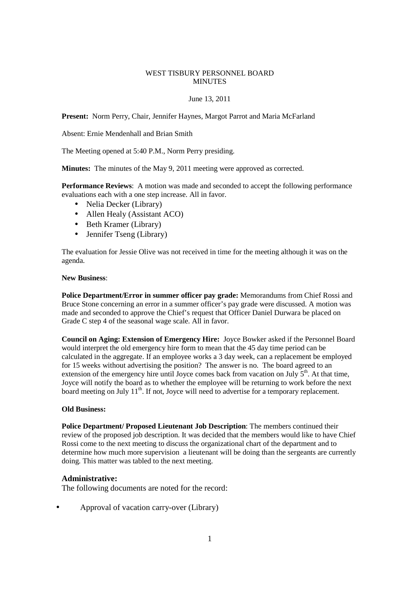### WEST TISBURY PERSONNEL BOARD **MINUTES**

### June 13, 2011

**Present:** Norm Perry, Chair, Jennifer Haynes, Margot Parrot and Maria McFarland

Absent: Ernie Mendenhall and Brian Smith

The Meeting opened at 5:40 P.M., Norm Perry presiding.

**Minutes:** The minutes of the May 9, 2011 meeting were approved as corrected.

**Performance Reviews**: A motion was made and seconded to accept the following performance evaluations each with a one step increase. All in favor.

- Nelia Decker (Library)
- Allen Healy (Assistant ACO)
- Beth Kramer (Library)
- Jennifer Tseng (Library)

The evaluation for Jessie Olive was not received in time for the meeting although it was on the agenda.

#### **New Business**:

**Police Department/Error in summer officer pay grade:** Memorandums from Chief Rossi and Bruce Stone concerning an error in a summer officer's pay grade were discussed. A motion was made and seconded to approve the Chief's request that Officer Daniel Durwara be placed on Grade C step 4 of the seasonal wage scale. All in favor.

**Council on Aging: Extension of Emergency Hire:** Joyce Bowker asked if the Personnel Board would interpret the old emergency hire form to mean that the 45 day time period can be calculated in the aggregate. If an employee works a 3 day week, can a replacement be employed for 15 weeks without advertising the position? The answer is no. The board agreed to an extension of the emergency hire until Joyce comes back from vacation on July  $5<sup>th</sup>$ . At that time, Joyce will notify the board as to whether the employee will be returning to work before the next board meeting on July  $11<sup>th</sup>$ . If not, Joyce will need to advertise for a temporary replacement.

# **Old Business:**

**Police Department/ Proposed Lieutenant Job Description**: The members continued their review of the proposed job description. It was decided that the members would like to have Chief Rossi come to the next meeting to discuss the organizational chart of the department and to determine how much more supervision a lieutenant will be doing than the sergeants are currently doing. This matter was tabled to the next meeting.

# **Administrative:**

The following documents are noted for the record:

• Approval of vacation carry-over (Library)